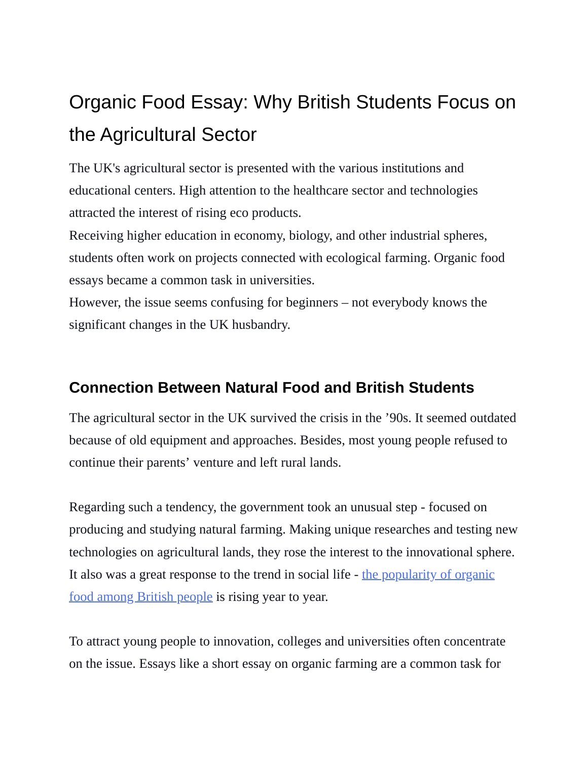# Organic Food Essay: Why British Students Focus on the Agricultural Sector

The UK's agricultural sector is presented with the various institutions and educational centers. High attention to the healthcare sector and technologies attracted the interest of rising eco products.

Receiving higher education in economy, biology, and other industrial spheres, students often work on projects connected with ecological farming. Organic food essays became a common task in universities.

However, the issue seems confusing for beginners – not everybody knows the significant changes in the UK husbandry.

## **Connection Between Natural Food and British Students**

The agricultural sector in the UK survived the crisis in the '90s. It seemed outdated because of old equipment and approaches. Besides, most young people refused to continue their parents' venture and left rural lands.

Regarding such a tendency, the government took an unusual step - focused on producing and studying natural farming. Making unique researches and testing new technologies on agricultural lands, they rose the interest to the innovational sphere. It also was a great response to the trend in social life - the [popularity](https://www.statista.com/statistics/282379/organic-food-and-drink-sales-in-the-united-kingdom-uk-since-1999/) of organi[c](https://www.statista.com/statistics/282379/organic-food-and-drink-sales-in-the-united-kingdom-uk-since-1999/) food among [British](https://www.statista.com/statistics/282379/organic-food-and-drink-sales-in-the-united-kingdom-uk-since-1999/) people is rising year to year.

To attract young people to innovation, colleges and universities often concentrate on the issue. Essays like a short essay on organic farming are a common task for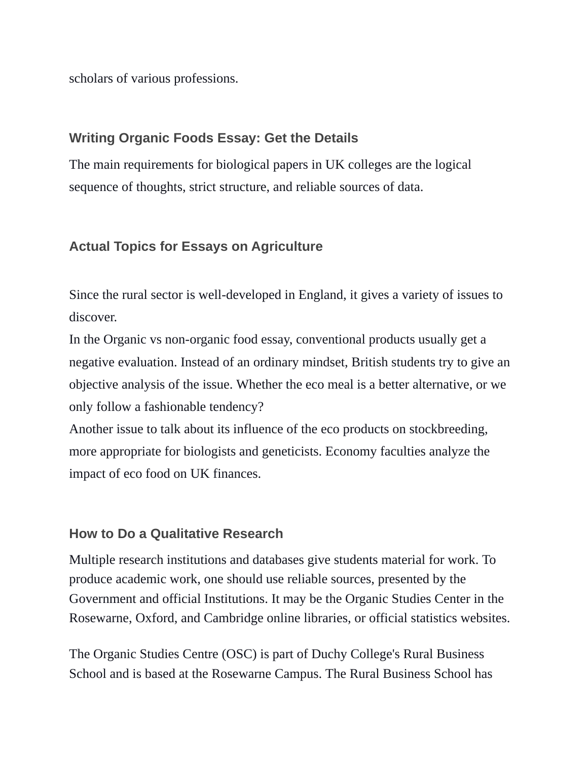scholars of various professions.

#### **Writing Organic Foods Essay: Get the Details**

The main requirements for biological papers in UK colleges are the logical sequence of thoughts, strict structure, and reliable sources of data.

## **Actual Topics for Essays on Agriculture**

Since the rural sector is well-developed in England, it gives a variety of issues to discover.

In the Organic vs non-organic food essay, conventional products usually get a negative evaluation. Instead of an ordinary mindset, British students try to give an objective analysis of the issue. Whether the eco meal is a better alternative, or we only follow a fashionable tendency?

Another issue to talk about its influence of the eco products on stockbreeding, more appropriate for biologists and geneticists. Economy faculties analyze the impact of eco food on UK finances.

#### **How to Do a Qualitative Research**

Multiple research institutions and databases give students material for work. To produce academic work, one should use reliable sources, presented by the Government and official Institutions. It may be the Organic Studies Center in the Rosewarne, Oxford, and Cambridge online libraries, or official statistics websites.

The Organic Studies Centre (OSC) is part of Duchy College's Rural Business School and is based at the Rosewarne Campus. The Rural Business School has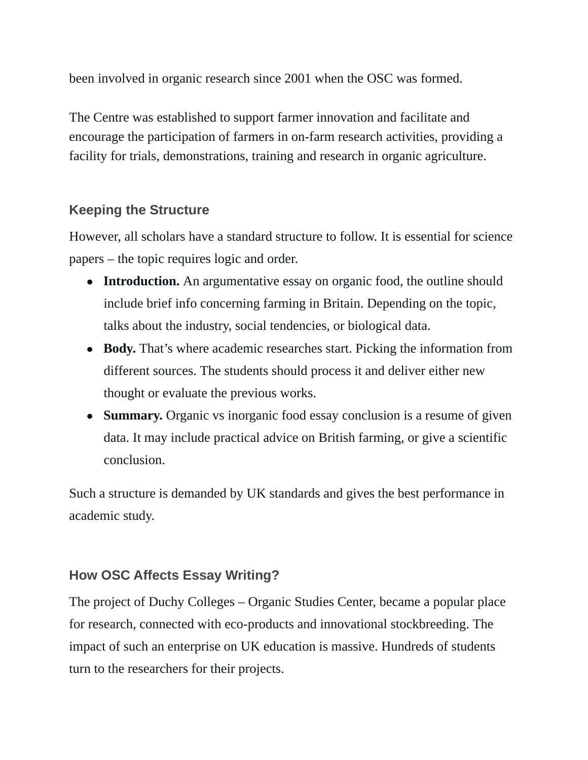been involved in organic research since 2001 when the OSC was formed.

The Centre was established to support farmer innovation and facilitate and encourage the participation of farmers in on-farm research activities, providing a facility for trials, demonstrations, training and research in organic agriculture.

## **Keeping the Structure**

However, all scholars have a standard structure to follow. It is essential for science papers – the topic requires logic and order.

- **Introduction.** An argumentative essay on organic food, the outline should include brief info concerning farming in Britain. Depending on the topic, talks about the industry, social tendencies, or biological data.
- **Body.** That's where academic researches start. Picking the information from different sources. The students should process it and deliver either new thought or evaluate the previous works.
- **Summary.** Organic vs inorganic food essay conclusion is a resume of given data. It may include practical advice on British farming, or give a scientific conclusion.

Such a structure is demanded by UK standards and gives the best performance in academic study.

## **How OSC Affects Essay Writing?**

The project of Duchy Colleges – Organic Studies Center, became a popular place for research, connected with eco-products and innovational stockbreeding. The impact of such an enterprise on UK education is massive. Hundreds of students turn to the researchers for their projects.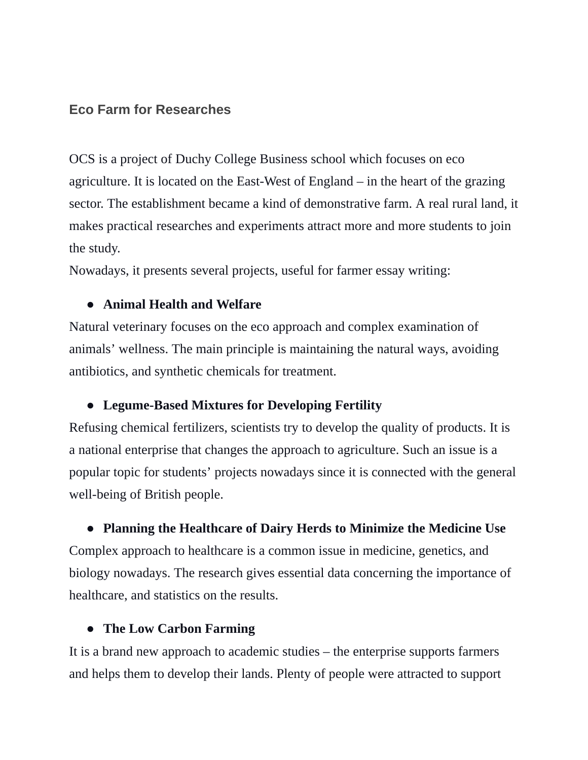#### **Eco Farm for Researches**

OCS is a project of Duchy College Business school which focuses on eco agriculture. It is located on the East-West of England – in the heart of the grazing sector. The establishment became a kind of demonstrative farm. A real rural land, it makes practical researches and experiments attract more and more students to join the study.

Nowadays, it presents several projects, useful for farmer essay writing:

#### ● **Animal Health and Welfare**

Natural veterinary focuses on the eco approach and complex examination of animals' wellness. The main principle is maintaining the natural ways, avoiding antibiotics, and synthetic chemicals for treatment.

## ● **Legume-Based Mixtures for Developing Fertility**

Refusing chemical fertilizers, scientists try to develop the quality of products. It is a national enterprise that changes the approach to agriculture. Such an issue is a popular topic for students' projects nowadays since it is connected with the general well-being of British people.

## ● **Planning the Healthcare of Dairy Herds to Minimize the Medicine Use**

Complex approach to healthcare is a common issue in medicine, genetics, and biology nowadays. The research gives essential data concerning the importance of healthcare, and statistics on the results.

## ● **The Low Carbon Farming**

It is a brand new approach to academic studies – the enterprise supports farmers and helps them to develop their lands. Plenty of people were attracted to support